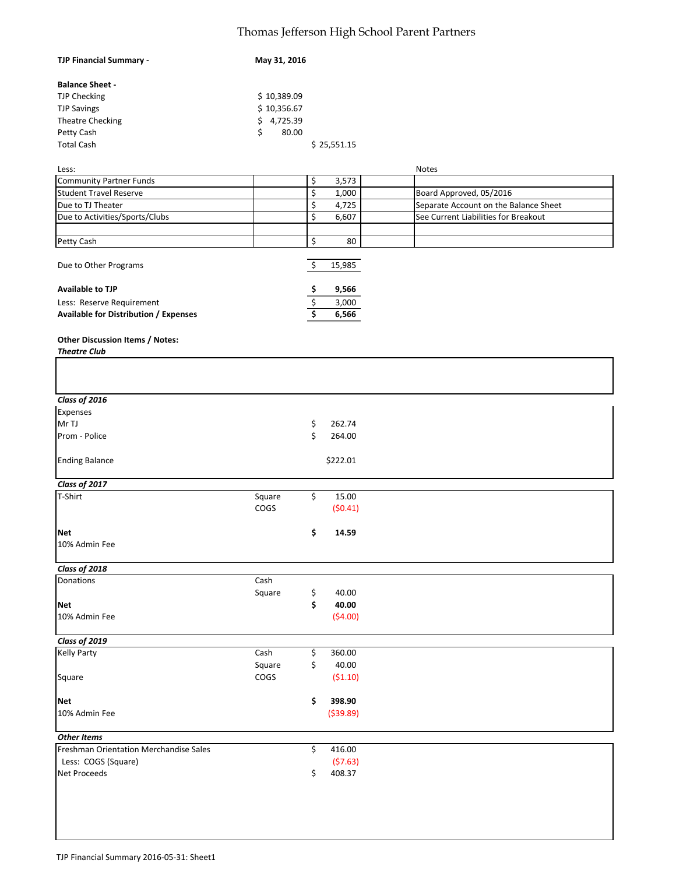## Thomas Jefferson High School Parent Partners

| <b>TJP Financial Summary -</b>               | May 31, 2016 |              |                                       |
|----------------------------------------------|--------------|--------------|---------------------------------------|
| <b>Balance Sheet -</b>                       |              |              |                                       |
| <b>TJP Checking</b>                          | \$10,389.09  |              |                                       |
| <b>TJP Savings</b>                           | \$10,356.67  |              |                                       |
| Theatre Checking                             | \$4,725.39   |              |                                       |
| Petty Cash                                   | \$<br>80.00  |              |                                       |
| <b>Total Cash</b>                            |              | \$25,551.15  |                                       |
|                                              |              |              |                                       |
| Less:                                        |              |              | <b>Notes</b>                          |
| <b>Community Partner Funds</b>               |              | \$<br>3,573  |                                       |
| <b>Student Travel Reserve</b>                |              | \$<br>1,000  | Board Approved, 05/2016               |
| Due to TJ Theater                            |              | \$<br>4,725  | Separate Account on the Balance Sheet |
| Due to Activities/Sports/Clubs               |              | \$<br>6,607  | See Current Liabilities for Breakout  |
|                                              |              |              |                                       |
| Petty Cash                                   |              | \$<br>80     |                                       |
|                                              |              |              |                                       |
| Due to Other Programs                        |              | \$<br>15,985 |                                       |
| <b>Available to TJP</b>                      |              | \$<br>9,566  |                                       |
| Less: Reserve Requirement                    |              | \$<br>3,000  |                                       |
| <b>Available for Distribution / Expenses</b> |              | 6,566        |                                       |
| Other Discussion Items / Notes:              |              |              |                                       |
| <b>Theatre Club</b>                          |              |              |                                       |
|                                              |              |              |                                       |
| Class of 2016                                |              |              |                                       |
| Expenses                                     |              |              |                                       |
| Mr TJ                                        |              | \$<br>262.74 |                                       |
| Prom - Police                                |              | \$<br>264.00 |                                       |
| <b>Ending Balance</b>                        |              | \$222.01     |                                       |
|                                              |              |              |                                       |
| Class of 2017                                |              |              |                                       |
| T-Shirt                                      | Square       | \$<br>15.00  |                                       |
|                                              | COGS         | (50.41)      |                                       |
| Net                                          |              | \$<br>14.59  |                                       |
| 10% Admin Fee                                |              |              |                                       |
|                                              |              |              |                                       |
| Class of 2018                                |              |              |                                       |
| Donations                                    | Cash         |              |                                       |
|                                              | Square       | \$<br>40.00  |                                       |
| Net                                          |              | \$<br>40.00  |                                       |
| 10% Admin Fee                                |              | (54.00)      |                                       |
| Class of 2019                                |              |              |                                       |
| <b>Kelly Party</b>                           | Cash         | \$<br>360.00 |                                       |
|                                              | Square       | \$<br>40.00  |                                       |
| Square                                       | COGS         | (51.10)      |                                       |
|                                              |              |              |                                       |
| Net                                          |              | \$<br>398.90 |                                       |
| 10% Admin Fee                                |              | ( \$39.89)   |                                       |
|                                              |              |              |                                       |
| <b>Other Items</b>                           |              |              |                                       |
| Freshman Orientation Merchandise Sales       |              | \$<br>416.00 |                                       |
| Less: COGS (Square)                          |              | (57.63)      |                                       |
| Net Proceeds                                 |              | \$<br>408.37 |                                       |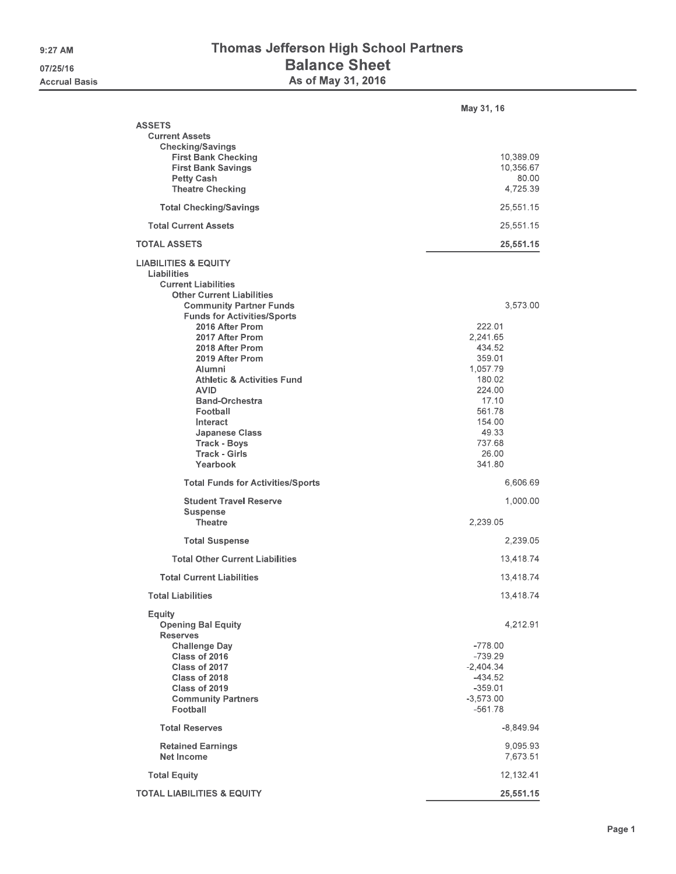## Thomas Jefferson High School Partners Balance Sheet<br>As of May 31, 2016

|                                                                                                                                                    | May 31, 16                                                                                  |
|----------------------------------------------------------------------------------------------------------------------------------------------------|---------------------------------------------------------------------------------------------|
| <b>ASSETS</b><br><b>Current Assets</b><br><b>Checking/Savings</b>                                                                                  |                                                                                             |
| <b>First Bank Checking</b><br><b>First Bank Savings</b><br><b>Petty Cash</b>                                                                       | 10,389.09<br>10,356.67<br>80.00                                                             |
| <b>Theatre Checking</b>                                                                                                                            | 4,725.39                                                                                    |
| <b>Total Checking/Savings</b>                                                                                                                      | 25,551.15                                                                                   |
| <b>Total Current Assets</b>                                                                                                                        | 25,551.15                                                                                   |
| <b>TOTAL ASSETS</b>                                                                                                                                | 25,551.15                                                                                   |
| <b>LIABILITIES &amp; EQUITY</b><br>Liabilities<br><b>Current Liabilities</b><br><b>Other Current Liabilities</b><br><b>Community Partner Funds</b> | 3,573.00                                                                                    |
| <b>Funds for Activities/Sports</b>                                                                                                                 |                                                                                             |
| 2016 After Prom                                                                                                                                    | 222.01                                                                                      |
| 2017 After Prom<br>2018 After Prom                                                                                                                 | 2,241.65<br>434.52                                                                          |
| 2019 After Prom                                                                                                                                    | 359.01                                                                                      |
| Alumni                                                                                                                                             | 1,057.79                                                                                    |
| <b>Athletic &amp; Activities Fund</b><br><b>AVID</b>                                                                                               | 180.02<br>224.00                                                                            |
| <b>Band-Orchestra</b>                                                                                                                              | 17.10                                                                                       |
| Football                                                                                                                                           | 561.78                                                                                      |
| Interact<br><b>Japanese Class</b>                                                                                                                  | 154,00<br>49.33                                                                             |
| <b>Track - Boys</b>                                                                                                                                | 737.68                                                                                      |
| <b>Track - Girls</b><br>Yearbook                                                                                                                   | 26,00<br>341.80                                                                             |
|                                                                                                                                                    |                                                                                             |
| <b>Total Funds for Activities/Sports</b>                                                                                                           | 6,606.69                                                                                    |
| <b>Student Travel Reserve</b><br><b>Suspense</b>                                                                                                   | 1,000.00                                                                                    |
| <b>Theatre</b>                                                                                                                                     | 2,239.05                                                                                    |
| <b>Total Suspense</b>                                                                                                                              | 2,239.05                                                                                    |
| <b>Total Other Current Liabilities</b>                                                                                                             |                                                                                             |
| <b>Total Current Liabilities</b>                                                                                                                   | 13,418.74<br>13,418.74                                                                      |
| <b>Total Liabilities</b>                                                                                                                           | 13,418.74                                                                                   |
|                                                                                                                                                    |                                                                                             |
| Equity<br><b>Opening Bal Equity</b><br><b>Reserves</b>                                                                                             | 4,212,91                                                                                    |
| <b>Challenge Day</b><br>Class of 2016<br>Class of 2017<br>Class of 2018<br>Class of 2019<br><b>Community Partners</b><br>Football                  | $-778.00$<br>$-739.29$<br>$-2,404.34$<br>$-434.52$<br>$-359.01$<br>$-3,573.00$<br>$-561.78$ |
| <b>Total Reserves</b>                                                                                                                              | $-8,849.94$                                                                                 |
| <b>Retained Earnings</b><br>Net Income                                                                                                             | 9,095.93<br>7,673.51                                                                        |
|                                                                                                                                                    |                                                                                             |
| <b>Total Equity</b>                                                                                                                                | 12,132.41                                                                                   |
| <b>TOTAL LIABILITIES &amp; EQUITY</b>                                                                                                              | 25,551,15                                                                                   |